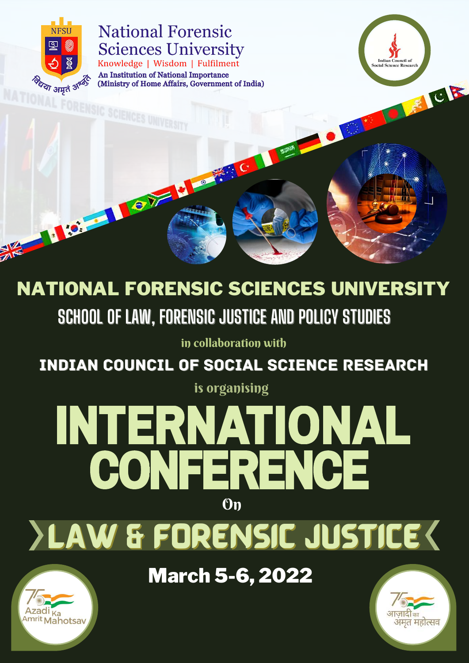

No. 1999

### **National Forensic Sciences University** Knowledge | Wisdom | Fulfilment

An Institution of National Importance (Ministry of Home Affairs, Government of India)

TOY MORE

**SCHOOL OF LAW, FORENSIC JUSTICE AND POLICY STUDIES** NATIONAL FORENSIC SCIENCES UNIVERSITY

# INTERNATIONAL CONFERENCE On

in collaboration with

# LAW & FORENSIC JUSTICE



## March 5-6, 2022



**Indian Council of Social Science Research** 

LEVER

#### is organising

## INDIAN COUNCIL OF SOCIAL SCIENCE RESEARCH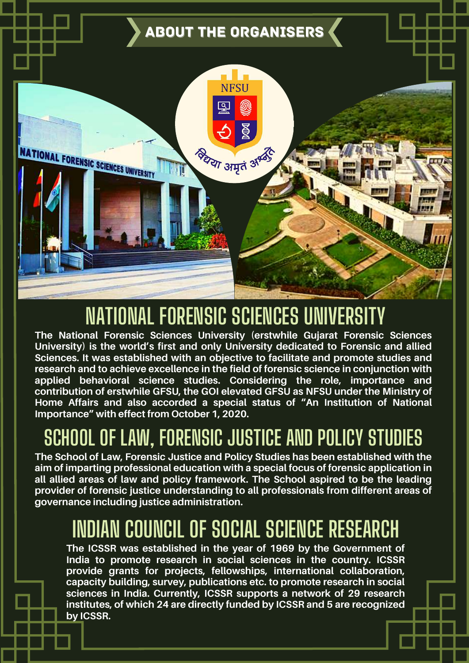**The School of Law, Forensic Justice and Policy Studies has been established with the aim of imparting professional education with a special focus of forensic application in all allied areas of law and policy framework. The School aspired to be the leading provider of forensic justice understanding to all professionals from different areas of governance including justice administration.**

## **SCHOOL OF LAW, FORENSIC JUSTICE AND POLICY STUDIES**



**The National Forensic Sciences University (erstwhile Gujarat Forensic Sciences University) is the world's first and only University dedicated to Forensic and allied Sciences. It was established with an objective to facilitate and promote studies and research and to achieve excellence in the field of forensic science in conjunction with applied behavioral science studies. Considering the role, importance and contribution of erstwhile GFSU, the GOI elevated GFSU as NFSU under the Ministry of Home Affairs and also accorded a special status of "An Institution of National Importance" with effect from October 1, 2020.**

**The ICSSR was established in the year of 1969 by the Government of India to promote research in social sciences in the country. ICSSR provide grants for projects, fellowships, international collaboration, capacity building, survey, publications etc. to promote research in social sciences in India. Currently, ICSSR supports a network of 29 research institutes, of which 24 are directly funded by ICSSR and 5 are recognized by ICSSR.**

## **NATIONAL FORENSIC SCIENCES UNIVERSITY**

## **INDIAN COUNCIL OF SOCIAL SCIENCE RESEARCH**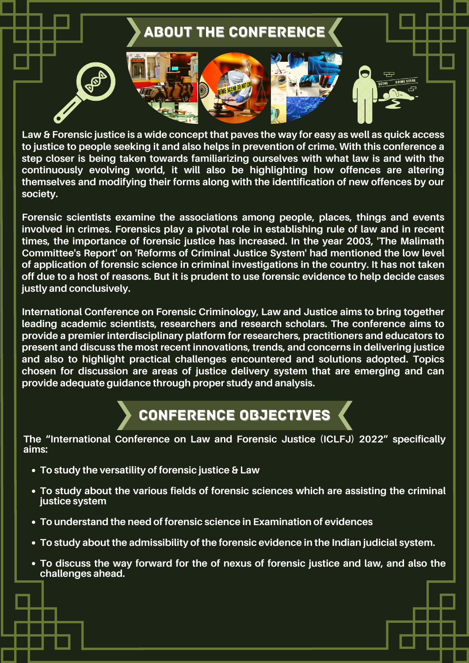Law & Forensic justice is a wide concept that paves the way for easy as well as quick access **to justice to people seeking it and also helps in prevention of crime. With this conference a step closer is being taken towards familiarizing ourselves with what law is and with the continuously evolving world, it will also be highlighting how offences are altering themselves and modifying their forms along with the identification of new offences by our society.**

**Forensic scientists examine the associations among people, places, things and events involved in crimes. Forensics play a pivotal role in establishing rule of law and in recent times, the importance of forensic justice has increased. In the year 2003, 'The Malimath Committee's Report' on 'Reforms of Criminal Justice System' had mentioned the low level of application of forensic science in criminal investigations in the country. It has not taken** off due to a host of reasons. But it is prudent to use forensic evidence to help decide cases **justly and conclusively.**

**International Conference on Forensic Criminology, Law and Justice aims to bring together leading academic scientists, researchers and research scholars. The conference aims to provide a premier interdisciplinary platform for researchers, practitioners and educators to present and discuss the most recent innovations, trends, and concerns in delivering justice and also to highlight practical challenges encountered and solutions adopted. Topics chosen for discussion are areas of justice delivery system that are emerging and can provide adequate guidance through proper study and analysis.**



- **To study the versatility of forensic justice & Law**
- **To study about the various fields of forensic sciences which are assisting the criminal justice system**
- **To understand the need of forensic science in Examination of evidences**
- **To study about the admissibility of the forensic evidence in the Indian judicial system.**
- **To discuss the way forward for the of nexus of forensic justice and law, and also the challenges ahead.**

**The "International Conference on Law and Forensic Justice (ICLFJ) 2022" specifically aims:**

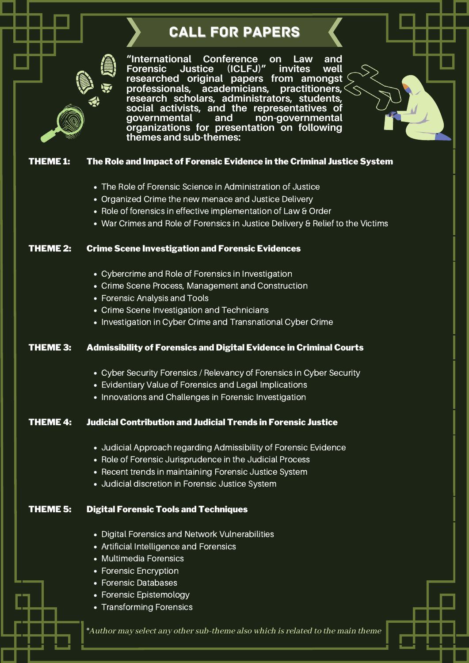### CALL FOR PAPERS

#### THEME 1: The Role and Impact of Forensic Evidence in the Criminal Justice System

- Cybercrime and Role of Forensics in Investigation
- Crime Scene Process, Management and Construction
- Forensic Analysis and Tools
- Crime Scene Investigation and Technicians
- Investigation in Cyber Crime and Transnational Cyber Crime
- The Role of Forensic Science in Administration of Justice
- Organized Crime the new menace and Justice Delivery
- Role of forensics in effective implementation of Law & Order
- War Crimes and Role of Forensics in Justice Delivery & Relief to the Victims

- Cyber Security Forensics / Relevancy of Forensics in Cyber Security
- Evidentiary Value of Forensics and Legal Implications
- Innovations and Challenges in Forensic Investigation

#### THEME 2: Crime Scene Investigation and Forensic Evidences

- Digital Forensics and Network Vulnerabilities
- Artificial Intelligence and Forensics
- Multimedia Forensics
- Forensic Encryption
- Forensic Databases
- Forensic Epistemology
- Transforming Forensics

#### THEME 3: Admissibility of Forensics and Digital Evidence in Criminal Courts

#### THEME 4: Judicial Contribution and Judicial Trends in Forensic Justice

- Judicial Approach regarding Admissibility of Forensic Evidence
- Role of Forensic Jurisprudence in the Judicial Process
- Recent trends in maintaining Forensic Justice System
- Judicial discretion in Forensic Justice System

#### THEME 5: Digital Forensic Tools and Techniques

\*Author may select any othersub-theme also which isrelated to the main theme

**"International Conference on Law and Forensic Justice (ICLFJ)" invites well researched original papers from amongst professionals, academicians, practitioners, research scholars, administrators, students, social activists, and the representatives of governmental and non-governmental organizations for presentation on following themes and sub-themes:**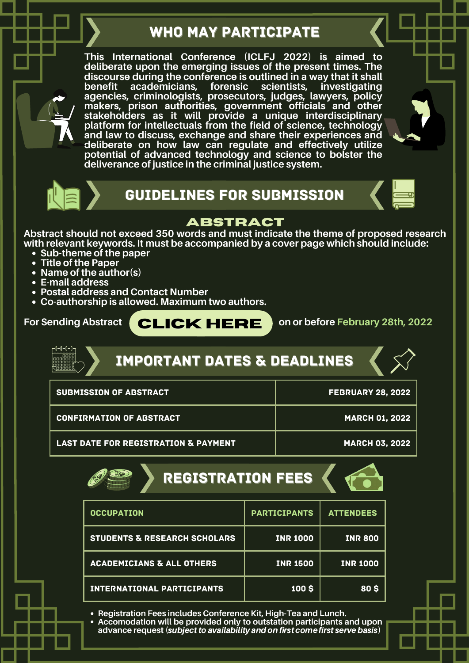- **Sub-theme of the paper**
- **Title of the Paper**
- **Name of the author(s)**
- **E-mail address**
- **Postal address and Contact Number**
- **Co-authorship is allowed. Maximum two authors.**

#### **ABSTRACT**

**Abstract should not exceed 350 words and must indicate the theme of proposed research with relevant keywords. It must be accompanied by a cover page which should include:**

**For Sending Abstract on or before February 28th, 2022**







## GUIDELINES FOR SUBMISSION

**[CLICK](https://forms.gle/P1nEkRQSsGzuugu78) [HERE](https://forms.gle/P1nEkRQSsGzuugu78)**

### WHO MAY PARTICIPATE

**This International Conference (ICLFJ 2022) is aimed to deliberate upon the emerging issues of the present times. The discourse during the conference is outlined in a way that it shall benefit academicians, forensic scientists, investigating agencies, criminologists, prosecutors, judges, lawyers, policy makers, prison authorities, government officials and other stakeholders as it will provide a unique interdisciplinary platform for intellectuals from the field of science, technology and law to discuss, exchange and share their experiences and deliberate on how law can regulate and effectively utilize potential of advanced technology and science to bolster the deliverance of justice in the criminal justice system.**





| <b>SUBMISSION OF ABSTRACT</b>                   | <b>FEBRUARY 28, 2022</b> |
|-------------------------------------------------|--------------------------|
| <b>CONFIRMATION OF ABSTRACT</b>                 | <b>MARCH 01, 2022</b>    |
| <b>LAST DATE FOR REGISTRATION &amp; PAYMENT</b> | <b>MARCH 03, 2022</b>    |

## IMPORTANT DATES & DEADLINES

| <b>OCCUPATION</b>                       | <b>PARTICIPANTS</b> | <b>ATTENDEES</b> |
|-----------------------------------------|---------------------|------------------|
| <b>STUDENTS &amp; RESEARCH SCHOLARS</b> | <b>INR 1000</b>     | <b>INR 800</b>   |
| <b>ACADEMICIANS &amp; ALL OTHERS</b>    | <b>INR 1500</b>     | <b>INR 1000</b>  |
| <b>INTERNATIONAL PARTICIPANTS</b>       | <b>100 \$</b>       | <b>80 S</b>      |



**Registration Fees includes Conference Kit, High-Tea and Lunch.**

**Accomodation will be provided only to outstation participants and upon advance request (**subjectto availability andon first come first servebasis**)**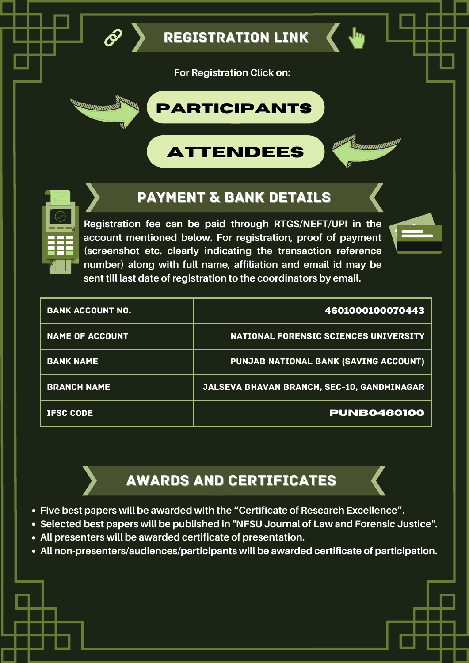

REGISTRATION LINK

| <b>BANK ACCOUNT NO.</b> | 4601000100070443                             |
|-------------------------|----------------------------------------------|
| <b>NAME OF ACCOUNT</b>  | <b>NATIONAL FORENSIC SCIENCES UNIVERSITY</b> |
| <b>BANK NAME</b>        | PUNJAB NATIONAL BANK (SAVING ACCOUNT)        |
| <b>BRANCH NAME</b>      | JALSEVA BHAVAN BRANCH, SEC-10, GANDHINAGAR   |
| <b>IFSC CODE</b>        | <b>PUNB0460100</b>                           |

## **[PARTICIPANTS](https://forms.gle/P1nEkRQSsGzuugu78)**







**Registration fee can be paid through RTGS/NEFT/UPI in the account mentioned below. For registration, proof of payment (screenshot etc. clearly indicating the transaction reference number) along with full name, affiliation and email id may be sent till last date of registration to the coordinators by email.**

- **Five best papers will be awarded with the "Certificate of Research Excellence".**
- **Selected best papers will be published in "NFSU Journal of Law and Forensic Justice".**
- **All presenters will be awarded certificate of presentation.**
- **All non-presenters/audiences/participants will be awarded certificate of participation.**

## PAYMENT & BANK DETAILS

## AWARDS AND CERTIFICATES

**For Registration Click on:**